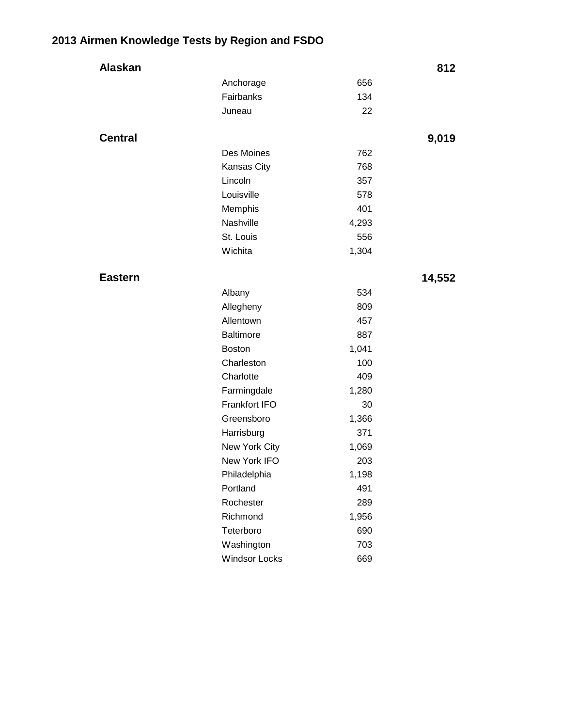## **2013 Airmen Knowledge Tests by Region and FSDO**

| Alaskan        |                      |       | 812    |
|----------------|----------------------|-------|--------|
|                | Anchorage            | 656   |        |
|                | Fairbanks            | 134   |        |
|                | Juneau               | 22    |        |
|                |                      |       |        |
| <b>Central</b> |                      |       | 9,019  |
|                | Des Moines           | 762   |        |
|                | Kansas City          | 768   |        |
|                | Lincoln              | 357   |        |
|                | Louisville           | 578   |        |
|                | Memphis              | 401   |        |
|                | Nashville            | 4,293 |        |
|                | St. Louis            | 556   |        |
|                | Wichita              | 1,304 |        |
|                |                      |       |        |
| <b>Eastern</b> |                      |       | 14,552 |
|                | Albany               | 534   |        |
|                | Allegheny            | 809   |        |
|                | Allentown            | 457   |        |
|                | <b>Baltimore</b>     | 887   |        |
|                | <b>Boston</b>        | 1,041 |        |
|                | Charleston           | 100   |        |
|                | Charlotte            | 409   |        |
|                | Farmingdale          | 1,280 |        |
|                | Frankfort IFO        | 30    |        |
|                | Greensboro           | 1,366 |        |
|                | Harrisburg           | 371   |        |
|                | New York City        | 1,069 |        |
|                | New York IFO         | 203   |        |
|                | Philadelphia         | 1,198 |        |
|                | Portland             | 491   |        |
|                | Rochester            | 289   |        |
|                | Richmond             | 1,956 |        |
|                | Teterboro            | 690   |        |
|                | Washington           | 703   |        |
|                | <b>Windsor Locks</b> | 669   |        |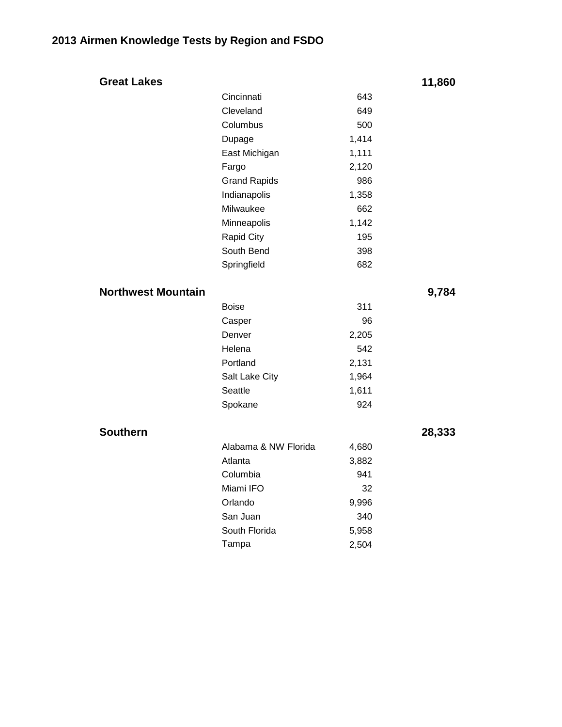| <b>Great Lakes</b>        |                      |       | 11,860 |
|---------------------------|----------------------|-------|--------|
|                           | Cincinnati           | 643   |        |
|                           | Cleveland            | 649   |        |
|                           | Columbus             | 500   |        |
|                           | Dupage               | 1,414 |        |
|                           | East Michigan        | 1,111 |        |
|                           | Fargo                | 2,120 |        |
|                           | <b>Grand Rapids</b>  | 986   |        |
|                           | Indianapolis         | 1,358 |        |
|                           | Milwaukee            | 662   |        |
|                           | Minneapolis          | 1,142 |        |
|                           | <b>Rapid City</b>    | 195   |        |
|                           | South Bend           | 398   |        |
|                           | Springfield          | 682   |        |
| <b>Northwest Mountain</b> |                      |       | 9,784  |
|                           | <b>Boise</b>         | 311   |        |
|                           | Casper               | 96    |        |
|                           | Denver               | 2,205 |        |
|                           | Helena               | 542   |        |
|                           | Portland             | 2,131 |        |
|                           | Salt Lake City       | 1,964 |        |
|                           | Seattle              | 1,611 |        |
|                           | Spokane              | 924   |        |
| <b>Southern</b>           |                      |       | 28,333 |
|                           | Alabama & NW Florida | 4,680 |        |
|                           | Atlanta              | 3,882 |        |
|                           | Columbia             | 941   |        |
|                           | Miami IFO            | 32    |        |
|                           | Orlando              | 9,996 |        |
|                           | San Juan             | 340   |        |
|                           | South Florida        | 5,958 |        |
|                           | Tampa                | 2,504 |        |